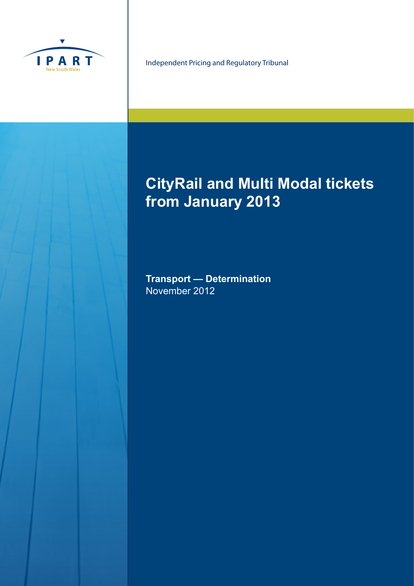

Independent Pricing and Regulatory Tribunal

# **CityRail and Multi Modal tickets from January 2013**

**Transport — Determination** November 2012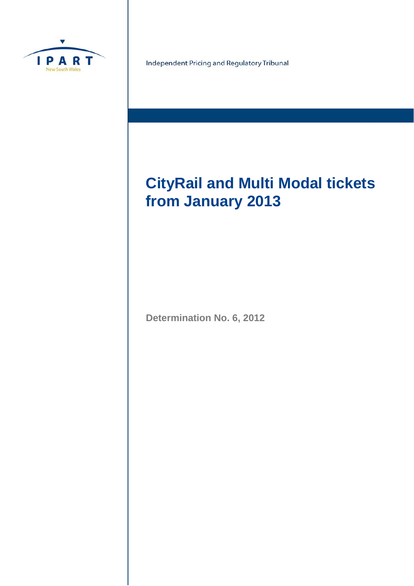

Independent Pricing and Regulatory Tribunal

# **CityRail and Multi Modal tickets from January 2013**

**Determination No. 6, 2012**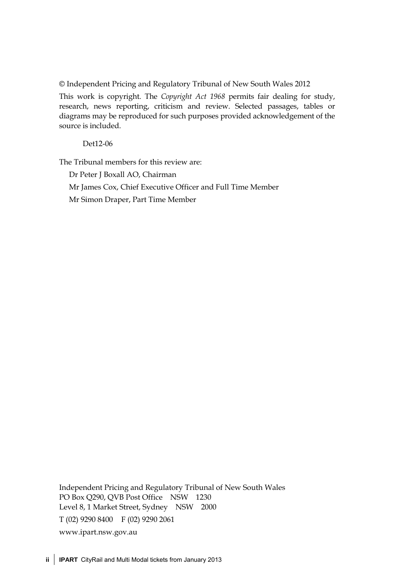© Independent Pricing and Regulatory Tribunal of New South Wales 2012

This work is copyright. The *Copyright Act 1968* permits fair dealing for study, research, news reporting, criticism and review. Selected passages, tables or diagrams may be reproduced for such purposes provided acknowledgement of the source is included.

Det12-06

The Tribunal members for this review are:

Dr Peter J Boxall AO, Chairman Mr James Cox, Chief Executive Officer and Full Time Member Mr Simon Draper, Part Time Member

Independent Pricing and Regulatory Tribunal of New South Wales PO Box Q290, QVB Post Office NSW 1230 Level 8, 1 Market Street, Sydney NSW 2000 T (02) 9290 8400 F (02) 9290 2061 www.ipart.nsw.gov.au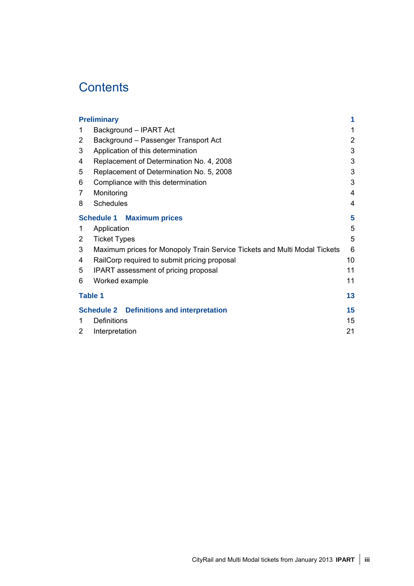## **Contents**

|                | <b>Preliminary</b>                                                        | 1              |
|----------------|---------------------------------------------------------------------------|----------------|
| 1              | Background - IPART Act                                                    | 1              |
| 2              | Background - Passenger Transport Act                                      | $\overline{2}$ |
| 3              | Application of this determination                                         | 3              |
| 4              | Replacement of Determination No. 4, 2008                                  | 3              |
| 5              | Replacement of Determination No. 5, 2008                                  | 3              |
| 6              | Compliance with this determination                                        | 3              |
| 7              | Monitoring                                                                | 4              |
| 8              | <b>Schedules</b>                                                          | 4              |
|                | <b>Schedule 1 Maximum prices</b>                                          | 5              |
| 1              | Application                                                               | 5              |
| 2              | <b>Ticket Types</b>                                                       | 5              |
| 3              | Maximum prices for Monopoly Train Service Tickets and Multi Modal Tickets | 6              |
| 4              | RailCorp required to submit pricing proposal                              | 10             |
| 5              | IPART assessment of pricing proposal                                      | 11             |
| 6              | Worked example                                                            | 11             |
| <b>Table 1</b> |                                                                           | 13             |
|                | <b>Schedule 2 Definitions and interpretation</b>                          | 15             |
| 1              | <b>Definitions</b>                                                        | 15             |
| 2              | Interpretation                                                            | 21             |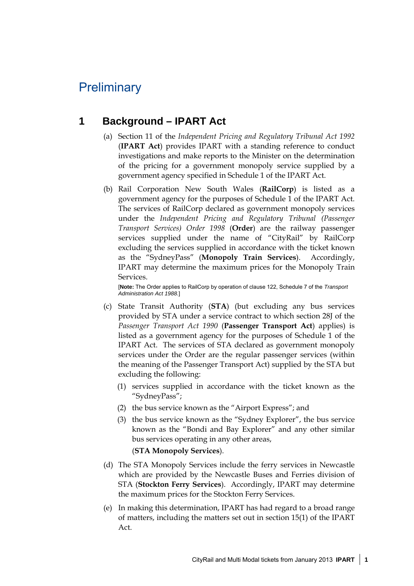## **Preliminary**

### **1 Background – IPART Act**

- (a) Section 11 of the *Independent Pricing and Regulatory Tribunal Act 1992*  (**IPART Act**) provides IPART with a standing reference to conduct investigations and make reports to the Minister on the determination of the pricing for a government monopoly service supplied by a government agency specified in Schedule 1 of the IPART Act.
- (b) Rail Corporation New South Wales (**RailCorp**) is listed as a government agency for the purposes of Schedule 1 of the IPART Act. The services of RailCorp declared as government monopoly services under the *Independent Pricing and Regulatory Tribunal (Passenger Transport Services) Order 1998* (**Order**) are the railway passenger services supplied under the name of "CityRail" by RailCorp excluding the services supplied in accordance with the ticket known as the "SydneyPass" (**Monopoly Train Services**). Accordingly, IPART may determine the maximum prices for the Monopoly Train Services.

[**Note:** The Order applies to RailCorp by operation of clause 122, Schedule 7 of the *Transport Administration Act 1988.*]

- (c) State Transit Authority (**STA**) (but excluding any bus services provided by STA under a service contract to which section 28J of the *Passenger Transport Act 1990* (**Passenger Transport Act**) applies) is listed as a government agency for the purposes of Schedule 1 of the IPART Act. The services of STA declared as government monopoly services under the Order are the regular passenger services (within the meaning of the Passenger Transport Act) supplied by the STA but excluding the following:
	- (1) services supplied in accordance with the ticket known as the "SydneyPass";
	- (2) the bus service known as the "Airport Express"; and
	- (3) the bus service known as the "Sydney Explorer", the bus service known as the "Bondi and Bay Explorer" and any other similar bus services operating in any other areas,

(**STA Monopoly Services**).

- (d) The STA Monopoly Services include the ferry services in Newcastle which are provided by the Newcastle Buses and Ferries division of STA (**Stockton Ferry Services**). Accordingly, IPART may determine the maximum prices for the Stockton Ferry Services.
- (e) In making this determination, IPART has had regard to a broad range of matters, including the matters set out in section 15(1) of the IPART Act.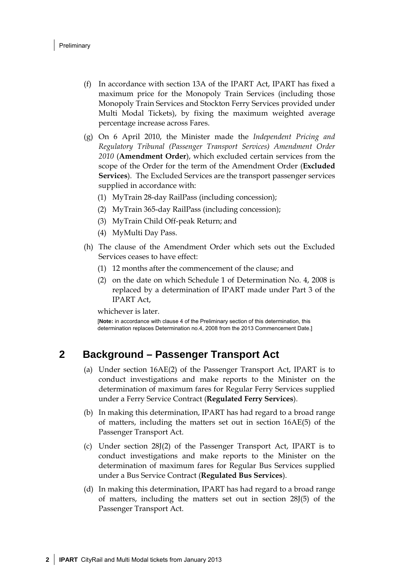- (f) In accordance with section 13A of the IPART Act, IPART has fixed a maximum price for the Monopoly Train Services (including those Monopoly Train Services and Stockton Ferry Services provided under Multi Modal Tickets), by fixing the maximum weighted average percentage increase across Fares.
- (g) On 6 April 2010, the Minister made the *Independent Pricing and Regulatory Tribunal (Passenger Transport Services) Amendment Order 2010* (**Amendment Order**), which excluded certain services from the scope of the Order for the term of the Amendment Order (**Excluded Services**). The Excluded Services are the transport passenger services supplied in accordance with:
	- (1) MyTrain 28-day RailPass (including concession);
	- (2) MyTrain 365-day RailPass (including concession);
	- (3) MyTrain Child Off-peak Return; and
	- (4) MyMulti Day Pass.
- (h) The clause of the Amendment Order which sets out the Excluded Services ceases to have effect:
	- (1) 12 months after the commencement of the clause; and
	- (2) on the date on which Schedule 1 of Determination No. 4, 2008 is replaced by a determination of IPART made under Part 3 of the IPART Act,

whichever is later.

[**Note:** in accordance with clause 4 of the Preliminary section of this determination, this determination replaces Determination no.4, 2008 from the 2013 Commencement Date.]

#### **2 Background – Passenger Transport Act**

- (a) Under section 16AE(2) of the Passenger Transport Act, IPART is to conduct investigations and make reports to the Minister on the determination of maximum fares for Regular Ferry Services supplied under a Ferry Service Contract (**Regulated Ferry Services**).
- (b) In making this determination, IPART has had regard to a broad range of matters, including the matters set out in section 16AE(5) of the Passenger Transport Act.
- (c) Under section 28J(2) of the Passenger Transport Act, IPART is to conduct investigations and make reports to the Minister on the determination of maximum fares for Regular Bus Services supplied under a Bus Service Contract (**Regulated Bus Services**).
- (d) In making this determination, IPART has had regard to a broad range of matters, including the matters set out in section 28J(5) of the Passenger Transport Act.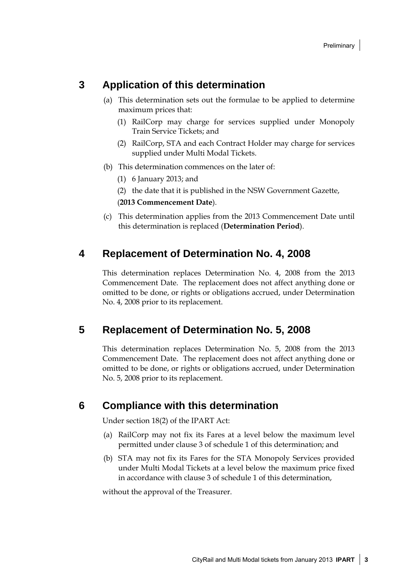### **3 Application of this determination**

- (a) This determination sets out the formulae to be applied to determine maximum prices that:
	- (1) RailCorp may charge for services supplied under Monopoly Train Service Tickets; and
	- (2) RailCorp, STA and each Contract Holder may charge for services supplied under Multi Modal Tickets.
- (b) This determination commences on the later of:
	- (1) 6 January 2013; and
	- (2) the date that it is published in the NSW Government Gazette,

(**2013 Commencement Date**).

(c) This determination applies from the 2013 Commencement Date until this determination is replaced (**Determination Period**).

#### **4 Replacement of Determination No. 4, 2008**

This determination replaces Determination No. 4, 2008 from the 2013 Commencement Date. The replacement does not affect anything done or omitted to be done, or rights or obligations accrued, under Determination No. 4, 2008 prior to its replacement.

#### **5 Replacement of Determination No. 5, 2008**

This determination replaces Determination No. 5, 2008 from the 2013 Commencement Date. The replacement does not affect anything done or omitted to be done, or rights or obligations accrued, under Determination No. 5, 2008 prior to its replacement.

#### **6 Compliance with this determination**

Under section 18(2) of the IPART Act:

- (a) RailCorp may not fix its Fares at a level below the maximum level permitted under clause 3 of schedule 1 of this determination; and
- (b) STA may not fix its Fares for the STA Monopoly Services provided under Multi Modal Tickets at a level below the maximum price fixed in accordance with clause 3 of schedule 1 of this determination,

without the approval of the Treasurer.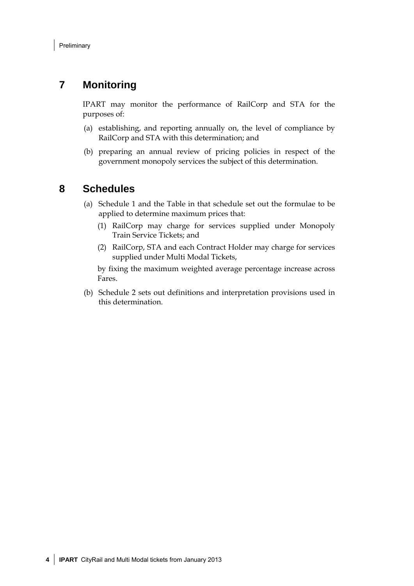## **7 Monitoring**

IPART may monitor the performance of RailCorp and STA for the purposes of:

- (a) establishing, and reporting annually on, the level of compliance by RailCorp and STA with this determination; and
- (b) preparing an annual review of pricing policies in respect of the government monopoly services the subject of this determination.

#### **8 Schedules**

- (a) Schedule 1 and the Table in that schedule set out the formulae to be applied to determine maximum prices that:
	- (1) RailCorp may charge for services supplied under Monopoly Train Service Tickets; and
	- (2) RailCorp, STA and each Contract Holder may charge for services supplied under Multi Modal Tickets,

by fixing the maximum weighted average percentage increase across Fares.

(b) Schedule 2 sets out definitions and interpretation provisions used in this determination.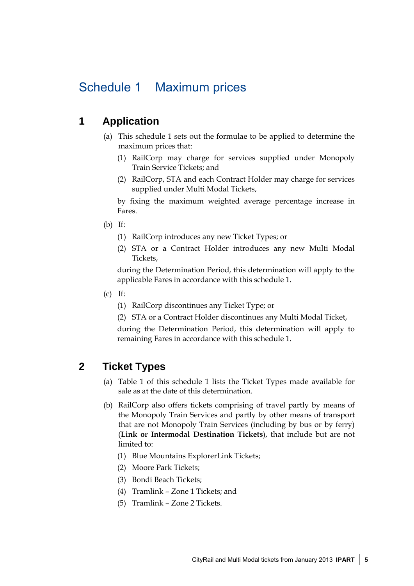## Schedule 1 Maximum prices

### **1 Application**

- (a) This schedule 1 sets out the formulae to be applied to determine the maximum prices that:
	- (1) RailCorp may charge for services supplied under Monopoly Train Service Tickets; and
	- (2) RailCorp, STA and each Contract Holder may charge for services supplied under Multi Modal Tickets,

by fixing the maximum weighted average percentage increase in Fares.

- (b) If:
	- (1) RailCorp introduces any new Ticket Types; or
	- (2) STA or a Contract Holder introduces any new Multi Modal Tickets,

during the Determination Period, this determination will apply to the applicable Fares in accordance with this schedule 1.

- $(c)$  If:
	- (1) RailCorp discontinues any Ticket Type; or
	- (2) STA or a Contract Holder discontinues any Multi Modal Ticket,

during the Determination Period, this determination will apply to remaining Fares in accordance with this schedule 1.

### **2 Ticket Types**

- (a) Table 1 of this schedule 1 lists the Ticket Types made available for sale as at the date of this determination.
- (b) RailCorp also offers tickets comprising of travel partly by means of the Monopoly Train Services and partly by other means of transport that are not Monopoly Train Services (including by bus or by ferry) (**Link or Intermodal Destination Tickets**), that include but are not limited to:
	- (1) Blue Mountains ExplorerLink Tickets;
	- (2) Moore Park Tickets;
	- (3) Bondi Beach Tickets;
	- (4) Tramlink Zone 1 Tickets; and
	- (5) Tramlink Zone 2 Tickets.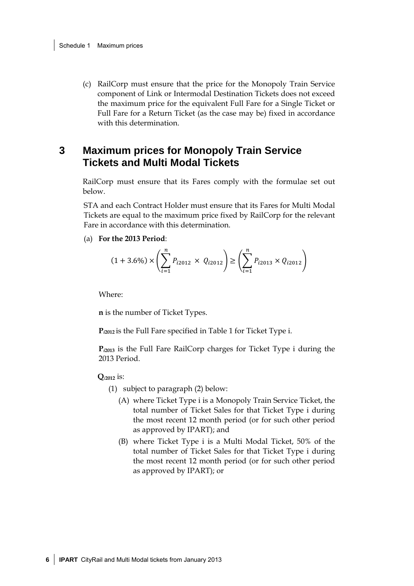(c) RailCorp must ensure that the price for the Monopoly Train Service component of Link or Intermodal Destination Tickets does not exceed the maximum price for the equivalent Full Fare for a Single Ticket or Full Fare for a Return Ticket (as the case may be) fixed in accordance with this determination.

### **3 Maximum prices for Monopoly Train Service Tickets and Multi Modal Tickets**

RailCorp must ensure that its Fares comply with the formulae set out below.

STA and each Contract Holder must ensure that its Fares for Multi Modal Tickets are equal to the maximum price fixed by RailCorp for the relevant Fare in accordance with this determination.

(a) **For the 2013 Period**:

$$
(1+3.6\%) \times \left(\sum_{i=1}^{n} P_{i2012} \times Q_{i2012}\right) \ge \left(\sum_{i=1}^{n} P_{i2013} \times Q_{i2012}\right)
$$

Where:

**n** is the number of Ticket Types.

**P***i***2012** is the Full Fare specified in Table 1 for Ticket Type i.

**P***i***<sup>2013</sup>** is the Full Fare RailCorp charges for Ticket Type i during the 2013 Period.

**Q***i***2012** is:

(1) subject to paragraph (2) below:

- (A) where Ticket Type i is a Monopoly Train Service Ticket, the total number of Ticket Sales for that Ticket Type i during the most recent 12 month period (or for such other period as approved by IPART); and
- (B) where Ticket Type i is a Multi Modal Ticket, 50% of the total number of Ticket Sales for that Ticket Type i during the most recent 12 month period (or for such other period as approved by IPART); or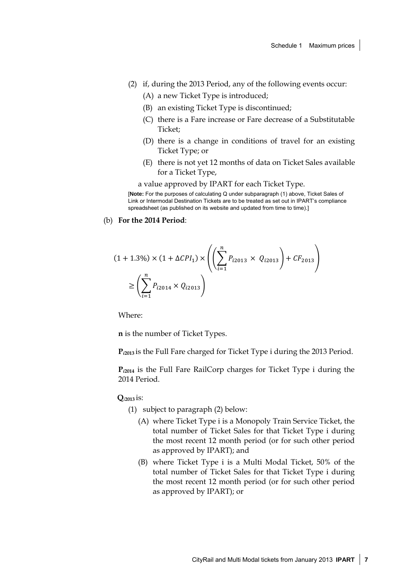- (2) if, during the 2013 Period, any of the following events occur:
	- (A) a new Ticket Type is introduced;
	- (B) an existing Ticket Type is discontinued;
	- (C) there is a Fare increase or Fare decrease of a Substitutable Ticket;
	- (D) there is a change in conditions of travel for an existing Ticket Type; or
	- (E) there is not yet 12 months of data on Ticket Sales available for a Ticket Type,

a value approved by IPART for each Ticket Type.

[**Note:** For the purposes of calculating Q under subparagraph (1) above, Ticket Sales of Link or Intermodal Destination Tickets are to be treated as set out in IPART's compliance spreadsheet (as published on its website and updated from time to time).]

(b) **For the 2014 Period**:

$$
(1 + 1.3\%) \times (1 + \Delta CPI_1) \times \left( \left( \sum_{i=1}^{n} P_{i2013} \times Q_{i2013} \right) + CF_{2013} \right)
$$

$$
\ge \left( \sum_{i=1}^{n} P_{i2014} \times Q_{i2013} \right)
$$

Where:

**n** is the number of Ticket Types.

**P***i***2013** is the Full Fare charged for Ticket Type i during the 2013 Period.

**P***i***<sup>2014</sup>** is the Full Fare RailCorp charges for Ticket Type i during the 2014 Period.

**Q***i***2013** is:

- (1) subject to paragraph (2) below:
	- (A) where Ticket Type i is a Monopoly Train Service Ticket, the total number of Ticket Sales for that Ticket Type i during the most recent 12 month period (or for such other period as approved by IPART); and
	- (B) where Ticket Type i is a Multi Modal Ticket, 50% of the total number of Ticket Sales for that Ticket Type i during the most recent 12 month period (or for such other period as approved by IPART); or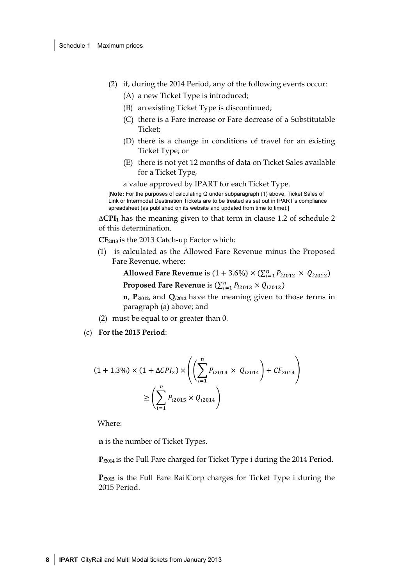- (2) if, during the 2014 Period, any of the following events occur:
	- (A) a new Ticket Type is introduced;
	- (B) an existing Ticket Type is discontinued;
	- (C) there is a Fare increase or Fare decrease of a Substitutable Ticket;
	- (D) there is a change in conditions of travel for an existing Ticket Type; or
	- (E) there is not yet 12 months of data on Ticket Sales available for a Ticket Type,

a value approved by IPART for each Ticket Type.

[**Note:** For the purposes of calculating Q under subparagraph (1) above, Ticket Sales of Link or Intermodal Destination Tickets are to be treated as set out in IPART's compliance spreadsheet (as published on its website and updated from time to time).]

**∆CPI1** has the meaning given to that term in clause 1.2 of schedule 2 of this determination.

**CF2013** is the 2013 Catch-up Factor which:

(1) is calculated as the Allowed Fare Revenue minus the Proposed Fare Revenue, where:

> **Allowed Fare Revenue** is  $(1 + 3.6\%) \times (\sum_{i=1}^{n} P_{i2012} \times Q_{i2012})$ **Proposed Fare Revenue** is  $(\sum_{i=1}^{n} P_{i2013} \times Q_{i2012})$

**n**, **P***i***2012**, and **Q***i***2012** have the meaning given to those terms in paragraph (a) above; and

- (2) must be equal to or greater than 0.
- (c) **For the 2015 Period**:

$$
(1 + 1.3\%) \times (1 + \Delta CPI_2) \times \left( \left( \sum_{i=1}^{n} P_{i2014} \times Q_{i2014} \right) + CF_{2014} \right)
$$

$$
\geq \left( \sum_{i=1}^{n} P_{i2015} \times Q_{i2014} \right)
$$

Where:

**n** is the number of Ticket Types.

**P***i***2014** is the Full Fare charged for Ticket Type i during the 2014 Period.

**P***i***<sup>2015</sup>** is the Full Fare RailCorp charges for Ticket Type i during the 2015 Period.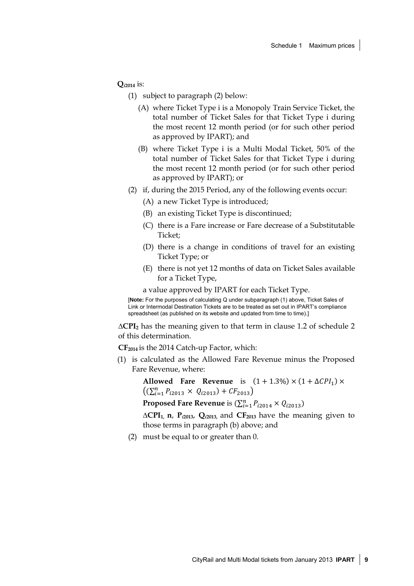**Q***i***2014** is:

(1) subject to paragraph (2) below:

- (A) where Ticket Type i is a Monopoly Train Service Ticket, the total number of Ticket Sales for that Ticket Type i during the most recent 12 month period (or for such other period as approved by IPART); and
- (B) where Ticket Type i is a Multi Modal Ticket, 50% of the total number of Ticket Sales for that Ticket Type i during the most recent 12 month period (or for such other period as approved by IPART); or
- (2) if, during the 2015 Period, any of the following events occur:
	- (A) a new Ticket Type is introduced;
	- (B) an existing Ticket Type is discontinued;
	- (C) there is a Fare increase or Fare decrease of a Substitutable Ticket;
	- (D) there is a change in conditions of travel for an existing Ticket Type; or
	- (E) there is not yet 12 months of data on Ticket Sales available for a Ticket Type,

a value approved by IPART for each Ticket Type.

[**Note:** For the purposes of calculating Q under subparagraph (1) above, Ticket Sales of Link or Intermodal Destination Tickets are to be treated as set out in IPART's compliance spreadsheet (as published on its website and updated from time to time).]

**∆CPI2** has the meaning given to that term in clause 1.2 of schedule 2 of this determination.

**CF2014** is the 2014 Catch-up Factor, which:

(1) is calculated as the Allowed Fare Revenue minus the Proposed Fare Revenue, where:

**Allowed Fare Revenue** is  $(1 + 1.3\%) \times (1 + \Delta CPI_1) \times$  $((\sum_{i=1}^{n} P_{i2013} \times Q_{i2013}) + CF_{2013})$ **Proposed Fare Revenue** is  $(\sum_{i=1}^{n} P_{i2014} \times Q_{i2013})$ 

**∆CPI1, n**, **P***i***2013**, **Q***i***2013,** and **CF2013** have the meaning given to those terms in paragraph (b) above; and

(2) must be equal to or greater than 0.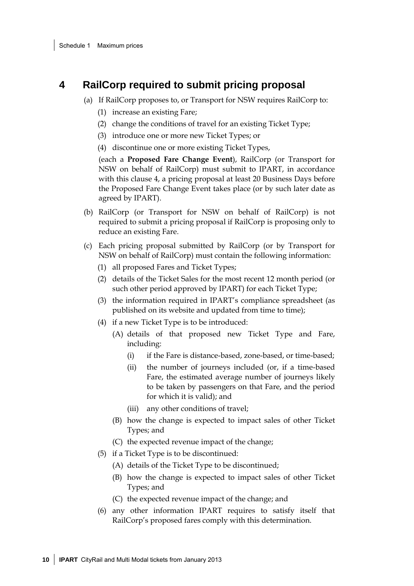#### **4 RailCorp required to submit pricing proposal**

- (a) If RailCorp proposes to, or Transport for NSW requires RailCorp to:
	- (1) increase an existing Fare;
	- (2) change the conditions of travel for an existing Ticket Type;
	- (3) introduce one or more new Ticket Types; or
	- (4) discontinue one or more existing Ticket Types,

(each a **Proposed Fare Change Event**), RailCorp (or Transport for NSW on behalf of RailCorp) must submit to IPART, in accordance with this clause 4, a pricing proposal at least 20 Business Days before the Proposed Fare Change Event takes place (or by such later date as agreed by IPART).

- (b) RailCorp (or Transport for NSW on behalf of RailCorp) is not required to submit a pricing proposal if RailCorp is proposing only to reduce an existing Fare.
- (c) Each pricing proposal submitted by RailCorp (or by Transport for NSW on behalf of RailCorp) must contain the following information:
	- (1) all proposed Fares and Ticket Types;
	- (2) details of the Ticket Sales for the most recent 12 month period (or such other period approved by IPART) for each Ticket Type;
	- (3) the information required in IPART's compliance spreadsheet (as published on its website and updated from time to time);
	- (4) if a new Ticket Type is to be introduced:
		- (A) details of that proposed new Ticket Type and Fare, including:
			- (i) if the Fare is distance-based, zone-based, or time-based;
			- (ii) the number of journeys included (or, if a time-based Fare, the estimated average number of journeys likely to be taken by passengers on that Fare, and the period for which it is valid); and
			- (iii) any other conditions of travel;
		- (B) how the change is expected to impact sales of other Ticket Types; and
		- (C) the expected revenue impact of the change;
	- (5) if a Ticket Type is to be discontinued:
		- (A) details of the Ticket Type to be discontinued;
		- (B) how the change is expected to impact sales of other Ticket Types; and
		- (C) the expected revenue impact of the change; and
	- (6) any other information IPART requires to satisfy itself that RailCorp's proposed fares comply with this determination.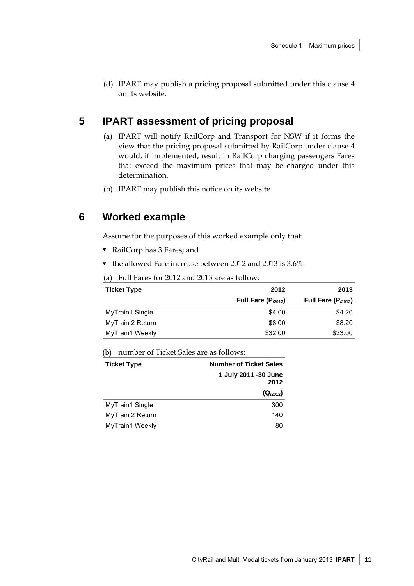(d) IPART may publish a pricing proposal submitted under this clause 4 on its website.

## **5 IPART assessment of pricing proposal**

- (a) IPART will notify RailCorp and Transport for NSW if it forms the view that the pricing proposal submitted by RailCorp under clause 4 would, if implemented, result in RailCorp charging passengers Fares that exceed the maximum prices that may be charged under this determination.
- (b) IPART may publish this notice on its website.

#### **6 Worked example**

Assume for the purposes of this worked example only that:

- RailCorp has 3 Fares; and
- $\blacktriangledown$  the allowed Fare increase between 2012 and 2013 is 3.6%.

|  | (a) Full Fares for 2012 and 2013 are as follow: |
|--|-------------------------------------------------|
|--|-------------------------------------------------|

| <b>Ticket Type</b>     | 2012                   | 2013                   |
|------------------------|------------------------|------------------------|
|                        | Full Fare $(P_{2012})$ | Full Fare $(P_{2013})$ |
| MyTrain1 Single        | \$4.00                 | \$4.20                 |
| MyTrain 2 Return       | \$8.00                 | \$8.20                 |
| <b>MyTrain1 Weekly</b> | \$32.00                | \$33.00                |

(b) number of Ticket Sales are as follows:

| <b>Ticket Type</b> | <b>Number of Ticket Sales</b> |  |
|--------------------|-------------------------------|--|
|                    | 1 July 2011 -30 June<br>2012  |  |
|                    | $(Q_{2012})$                  |  |
| MyTrain1 Single    | 300                           |  |
| MyTrain 2 Return   | 140                           |  |
| MyTrain1 Weekly    | 80                            |  |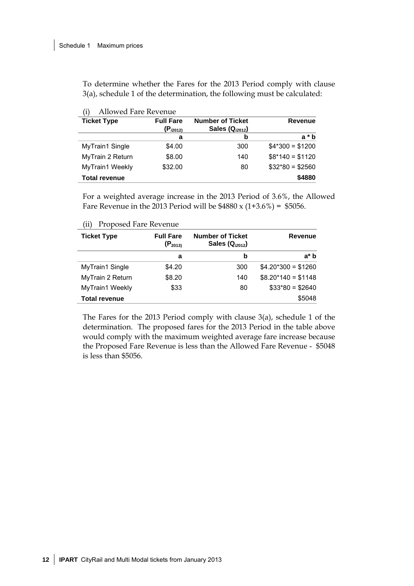To determine whether the Fares for the 2013 Period comply with clause 3(a), schedule 1 of the determination, the following must be calculated:

| <b>Ticket Type</b>   | <b>Full Fare</b> | <b>Number of Ticket</b> | <b>Revenue</b>   |
|----------------------|------------------|-------------------------|------------------|
|                      | $(P_{i2012)}$    | Sales $(Q_{i2012})$     |                  |
|                      | а                | b                       | $a * b$          |
| MyTrain1 Single      | \$4.00           | 300                     | $$4*300 = $1200$ |
| MyTrain 2 Return     | \$8.00           | 140                     | $$8*140 = $1120$ |
| MyTrain1 Weekly      | \$32.00          | 80                      | $$32*80 = $2560$ |
| <b>Total revenue</b> |                  |                         | \$4880           |

| (i) | Allowed Fare Revenue |
|-----|----------------------|
|-----|----------------------|

For a weighted average increase in the 2013 Period of 3.6%, the Allowed Fare Revenue in the 2013 Period will be  $$4880 \times (1+3.6\%) = $5056$ .

|  |  | (ii) Proposed Fare Revenue |  |  |  |  |
|--|--|----------------------------|--|--|--|--|
|--|--|----------------------------|--|--|--|--|

| <b>Ticket Type</b>   | <b>Full Fare</b><br>$(P_{2013)}$ | <b>Number of Ticket</b><br>Sales $(Q_{i2012})$ | Revenue              |
|----------------------|----------------------------------|------------------------------------------------|----------------------|
|                      | a                                | b                                              | a* b                 |
| MyTrain1 Single      | \$4.20                           | 300                                            | $$4.20*300 = $1260$  |
| MyTrain 2 Return     | \$8.20                           | 140                                            | $$8.20^*140 = $1148$ |
| MyTrain1 Weekly      | \$33                             | 80                                             | $$33*80 = $2640$     |
| <b>Total revenue</b> |                                  |                                                | \$5048               |

The Fares for the 2013 Period comply with clause 3(a), schedule 1 of the determination. The proposed fares for the 2013 Period in the table above would comply with the maximum weighted average fare increase because the Proposed Fare Revenue is less than the Allowed Fare Revenue - \$5048 is less than \$5056.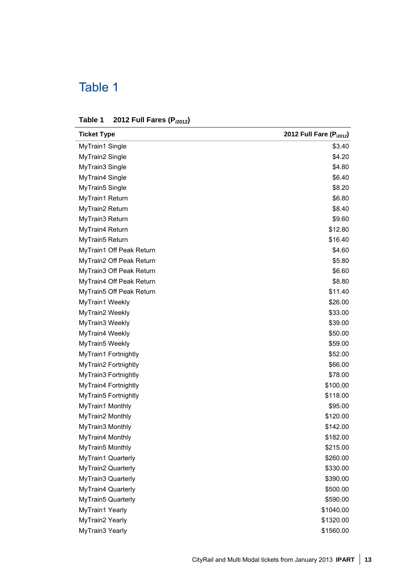## Table 1

| Table 1 |  | 2012 Full Fares (P <sub>i2012</sub> ) |  |
|---------|--|---------------------------------------|--|
|---------|--|---------------------------------------|--|

| <b>Ticket Type</b>       | 2012 Full Fare (P <sub>i2012</sub> ) |
|--------------------------|--------------------------------------|
| MyTrain1 Single          | \$3.40                               |
| MyTrain2 Single          | \$4.20                               |
| MyTrain3 Single          | \$4.80                               |
| MyTrain4 Single          | \$6.40                               |
| MyTrain5 Single          | \$8.20                               |
| MyTrain1 Return          | \$6.80                               |
| MyTrain2 Return          | \$8.40                               |
| MyTrain3 Return          | \$9.60                               |
| MyTrain4 Return          | \$12.80                              |
| MyTrain5 Return          | \$16.40                              |
| MyTrain1 Off Peak Return | \$4.60                               |
| MyTrain2 Off Peak Return | \$5.80                               |
| MyTrain3 Off Peak Return | \$6.60                               |
| MyTrain4 Off Peak Return | \$8.80                               |
| MyTrain5 Off Peak Return | \$11.40                              |
| MyTrain1 Weekly          | \$26.00                              |
| MyTrain2 Weekly          | \$33.00                              |
| MyTrain3 Weekly          | \$39.00                              |
| MyTrain4 Weekly          | \$50.00                              |
| MyTrain5 Weekly          | \$59.00                              |
| MyTrain1 Fortnightly     | \$52.00                              |
| MyTrain2 Fortnightly     | \$66.00                              |
| MyTrain3 Fortnightly     | \$78.00                              |
| MyTrain4 Fortnightly     | \$100.00                             |
| MyTrain5 Fortnightly     | \$118.00                             |
| MyTrain1 Monthly         | \$95.00                              |
| MyTrain2 Monthly         | \$120.00                             |
| MyTrain3 Monthly         | \$142.00                             |
| MyTrain4 Monthly         | \$182.00                             |
| MyTrain5 Monthly         | \$215.00                             |
| MyTrain1 Quarterly       | \$260.00                             |
| MyTrain2 Quarterly       | \$330.00                             |
| MyTrain3 Quarterly       | \$390.00                             |
| MyTrain4 Quarterly       | \$500.00                             |
| MyTrain5 Quarterly       | \$590.00                             |
| MyTrain1 Yearly          | \$1040.00                            |
| MyTrain2 Yearly          | \$1320.00                            |
| MyTrain3 Yearly          | \$1560.00                            |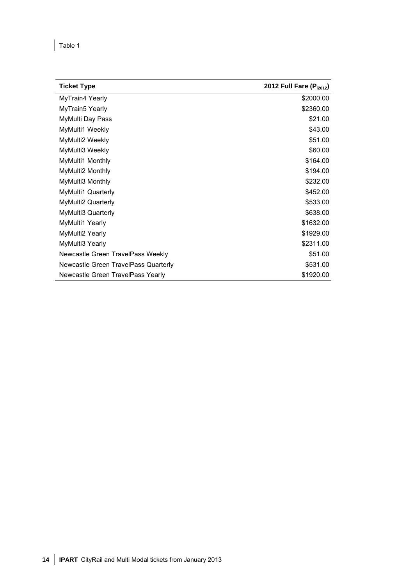Î.

| <b>Ticket Type</b>                   | 2012 Full Fare (P <sub>i2012</sub> ) |
|--------------------------------------|--------------------------------------|
| MyTrain4 Yearly                      | \$2000.00                            |
| MyTrain5 Yearly                      | \$2360.00                            |
| MyMulti Day Pass                     | \$21.00                              |
| MyMulti1 Weekly                      | \$43.00                              |
| MyMulti2 Weekly                      | \$51.00                              |
| MyMulti3 Weekly                      | \$60.00                              |
| MyMulti1 Monthly                     | \$164.00                             |
| MyMulti2 Monthly                     | \$194.00                             |
| MyMulti3 Monthly                     | \$232.00                             |
| MyMulti1 Quarterly                   | \$452.00                             |
| MyMulti2 Quarterly                   | \$533.00                             |
| MyMulti3 Quarterly                   | \$638.00                             |
| MyMulti1 Yearly                      | \$1632.00                            |
| MyMulti2 Yearly                      | \$1929.00                            |
| MyMulti3 Yearly                      | \$2311.00                            |
| Newcastle Green TravelPass Weekly    | \$51.00                              |
| Newcastle Green TravelPass Quarterly | \$531.00                             |
| Newcastle Green TravelPass Yearly    | \$1920.00                            |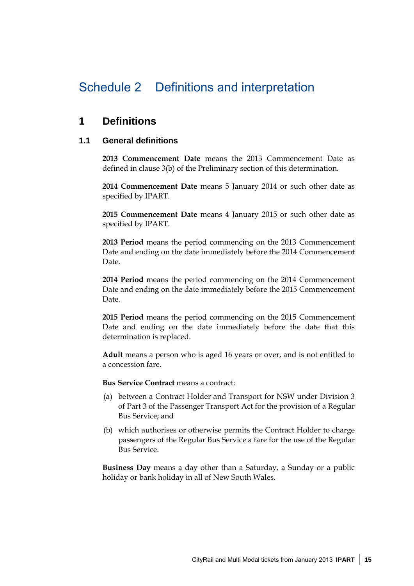## Schedule 2 Definitions and interpretation

### **1 Definitions**

#### **1.1 General definitions**

**2013 Commencement Date** means the 2013 Commencement Date as defined in clause 3(b) of the Preliminary section of this determination.

**2014 Commencement Date** means 5 January 2014 or such other date as specified by IPART.

**2015 Commencement Date** means 4 January 2015 or such other date as specified by IPART.

**2013 Period** means the period commencing on the 2013 Commencement Date and ending on the date immediately before the 2014 Commencement Date.

**2014 Period** means the period commencing on the 2014 Commencement Date and ending on the date immediately before the 2015 Commencement Date.

**2015 Period** means the period commencing on the 2015 Commencement Date and ending on the date immediately before the date that this determination is replaced.

**Adult** means a person who is aged 16 years or over, and is not entitled to a concession fare.

**Bus Service Contract** means a contract:

- (a) between a Contract Holder and Transport for NSW under Division 3 of Part 3 of the Passenger Transport Act for the provision of a Regular Bus Service; and
- (b) which authorises or otherwise permits the Contract Holder to charge passengers of the Regular Bus Service a fare for the use of the Regular Bus Service.

**Business Day** means a day other than a Saturday, a Sunday or a public holiday or bank holiday in all of New South Wales.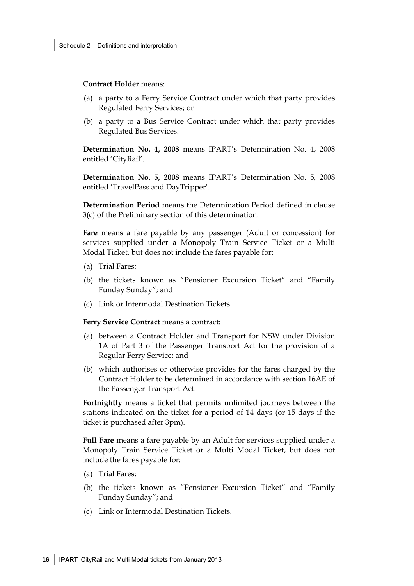**Contract Holder** means:

- (a) a party to a Ferry Service Contract under which that party provides Regulated Ferry Services; or
- (b) a party to a Bus Service Contract under which that party provides Regulated Bus Services.

**Determination No. 4, 2008** means IPART's Determination No. 4, 2008 entitled 'CityRail'.

**Determination No. 5, 2008** means IPART's Determination No. 5, 2008 entitled 'TravelPass and DayTripper'.

**Determination Period** means the Determination Period defined in clause 3(c) of the Preliminary section of this determination.

**Fare** means a fare payable by any passenger (Adult or concession) for services supplied under a Monopoly Train Service Ticket or a Multi Modal Ticket, but does not include the fares payable for:

- (a) Trial Fares;
- (b) the tickets known as "Pensioner Excursion Ticket" and "Family Funday Sunday"; and
- (c) Link or Intermodal Destination Tickets.

**Ferry Service Contract** means a contract:

- (a) between a Contract Holder and Transport for NSW under Division 1A of Part 3 of the Passenger Transport Act for the provision of a Regular Ferry Service; and
- (b) which authorises or otherwise provides for the fares charged by the Contract Holder to be determined in accordance with section 16AE of the Passenger Transport Act.

**Fortnightly** means a ticket that permits unlimited journeys between the stations indicated on the ticket for a period of 14 days (or 15 days if the ticket is purchased after 3pm).

**Full Fare** means a fare payable by an Adult for services supplied under a Monopoly Train Service Ticket or a Multi Modal Ticket, but does not include the fares payable for:

- (a) Trial Fares;
- (b) the tickets known as "Pensioner Excursion Ticket" and "Family Funday Sunday"; and
- (c) Link or Intermodal Destination Tickets.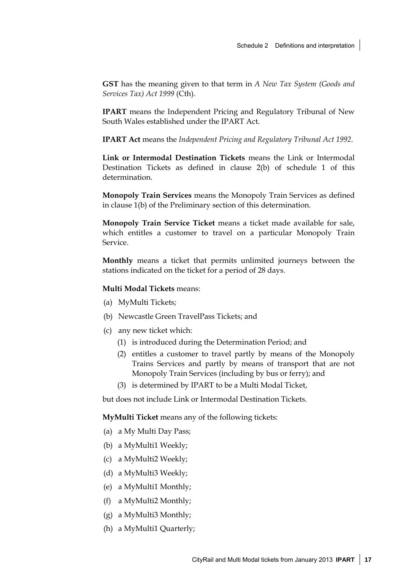**GST** has the meaning given to that term in *A New Tax System (Goods and Services Tax) Act 1999* (Cth).

**IPART** means the Independent Pricing and Regulatory Tribunal of New South Wales established under the IPART Act.

**IPART Act** means the *Independent Pricing and Regulatory Tribunal Act 1992*.

**Link or Intermodal Destination Tickets** means the Link or Intermodal Destination Tickets as defined in clause 2(b) of schedule 1 of this determination.

**Monopoly Train Services** means the Monopoly Train Services as defined in clause 1(b) of the Preliminary section of this determination.

**Monopoly Train Service Ticket** means a ticket made available for sale, which entitles a customer to travel on a particular Monopoly Train Service.

**Monthly** means a ticket that permits unlimited journeys between the stations indicated on the ticket for a period of 28 days.

#### **Multi Modal Tickets** means:

- (a) MyMulti Tickets;
- (b) Newcastle Green TravelPass Tickets; and
- (c) any new ticket which:
	- (1) is introduced during the Determination Period; and
	- (2) entitles a customer to travel partly by means of the Monopoly Trains Services and partly by means of transport that are not Monopoly Train Services (including by bus or ferry); and
	- (3) is determined by IPART to be a Multi Modal Ticket,

but does not include Link or Intermodal Destination Tickets.

**MyMulti Ticket** means any of the following tickets:

- (a) a My Multi Day Pass;
- (b) a MyMulti1 Weekly;
- (c) a MyMulti2 Weekly;
- (d) a MyMulti3 Weekly;
- (e) a MyMulti1 Monthly;
- (f) a MyMulti2 Monthly;
- (g) a MyMulti3 Monthly;
- (h) a MyMulti1 Quarterly;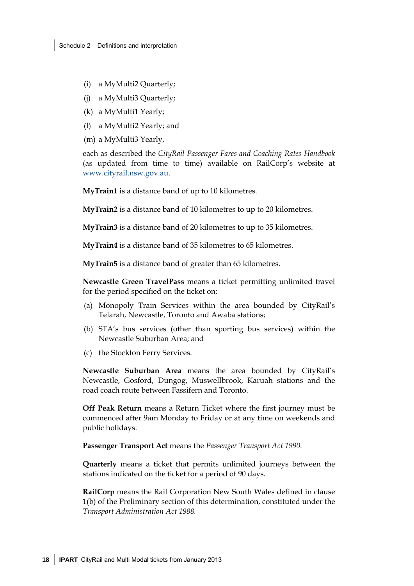- (i) a MyMulti2 Quarterly;
- (j) a MyMulti3 Quarterly;
- (k) a MyMulti1 Yearly;
- (l) a MyMulti2 Yearly; and
- (m) a MyMulti3 Yearly,

each as described the *CityRail Passenger Fares and Coaching Rates Handbook* (as updated from time to time) available on RailCorp's website at www.cityrail.nsw.gov.au.

**MyTrain1** is a distance band of up to 10 kilometres.

**MyTrain2** is a distance band of 10 kilometres to up to 20 kilometres.

**MyTrain3** is a distance band of 20 kilometres to up to 35 kilometres.

**MyTrain4** is a distance band of 35 kilometres to 65 kilometres.

**MyTrain5** is a distance band of greater than 65 kilometres.

**Newcastle Green TravelPass** means a ticket permitting unlimited travel for the period specified on the ticket on:

- (a) Monopoly Train Services within the area bounded by CityRail's Telarah, Newcastle, Toronto and Awaba stations;
- (b) STA's bus services (other than sporting bus services) within the Newcastle Suburban Area; and
- (c) the Stockton Ferry Services.

**Newcastle Suburban Area** means the area bounded by CityRail's Newcastle, Gosford, Dungog, Muswellbrook, Karuah stations and the road coach route between Fassifern and Toronto.

**Off Peak Return** means a Return Ticket where the first journey must be commenced after 9am Monday to Friday or at any time on weekends and public holidays.

**Passenger Transport Act** means the *Passenger Transport Act 1990.* 

**Quarterly** means a ticket that permits unlimited journeys between the stations indicated on the ticket for a period of 90 days.

**RailCorp** means the Rail Corporation New South Wales defined in clause 1(b) of the Preliminary section of this determination, constituted under the *Transport Administration Act 1988.*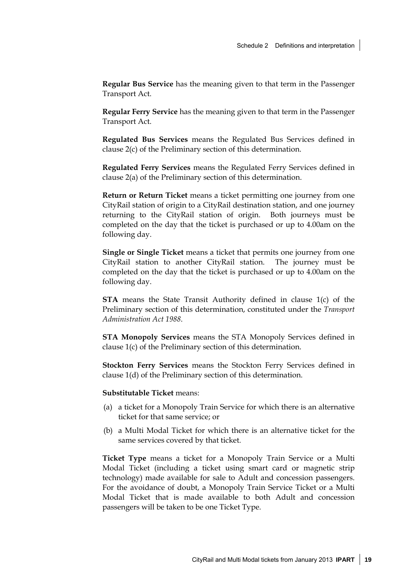**Regular Bus Service** has the meaning given to that term in the Passenger Transport Act.

**Regular Ferry Service** has the meaning given to that term in the Passenger Transport Act.

**Regulated Bus Services** means the Regulated Bus Services defined in clause 2(c) of the Preliminary section of this determination.

**Regulated Ferry Services** means the Regulated Ferry Services defined in clause 2(a) of the Preliminary section of this determination.

**Return or Return Ticket** means a ticket permitting one journey from one CityRail station of origin to a CityRail destination station, and one journey returning to the CityRail station of origin. Both journeys must be completed on the day that the ticket is purchased or up to 4.00am on the following day.

**Single or Single Ticket** means a ticket that permits one journey from one CityRail station to another CityRail station. The journey must be completed on the day that the ticket is purchased or up to 4.00am on the following day.

**STA** means the State Transit Authority defined in clause 1(c) of the Preliminary section of this determination, constituted under the *Transport Administration Act 1988*.

**STA Monopoly Services** means the STA Monopoly Services defined in clause 1(c) of the Preliminary section of this determination.

**Stockton Ferry Services** means the Stockton Ferry Services defined in clause 1(d) of the Preliminary section of this determination.

**Substitutable Ticket** means:

- (a) a ticket for a Monopoly Train Service for which there is an alternative ticket for that same service; or
- (b) a Multi Modal Ticket for which there is an alternative ticket for the same services covered by that ticket.

**Ticket Type** means a ticket for a Monopoly Train Service or a Multi Modal Ticket (including a ticket using smart card or magnetic strip technology) made available for sale to Adult and concession passengers. For the avoidance of doubt, a Monopoly Train Service Ticket or a Multi Modal Ticket that is made available to both Adult and concession passengers will be taken to be one Ticket Type.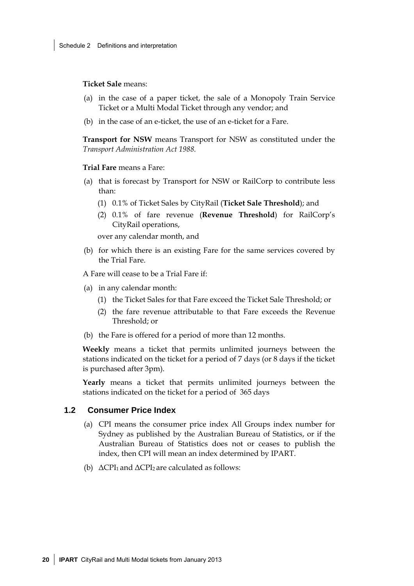**Ticket Sale** means:

- (a) in the case of a paper ticket, the sale of a Monopoly Train Service Ticket or a Multi Modal Ticket through any vendor; and
- (b) in the case of an e-ticket, the use of an e-ticket for a Fare.

**Transport for NSW** means Transport for NSW as constituted under the *Transport Administration Act 1988*.

**Trial Fare** means a Fare:

- (a) that is forecast by Transport for NSW or RailCorp to contribute less than:
	- (1) 0.1% of Ticket Sales by CityRail (**Ticket Sale Threshold**); and
	- (2) 0.1% of fare revenue (**Revenue Threshold**) for RailCorp's CityRail operations,

over any calendar month, and

(b) for which there is an existing Fare for the same services covered by the Trial Fare.

A Fare will cease to be a Trial Fare if:

- (a) in any calendar month:
	- (1) the Ticket Sales for that Fare exceed the Ticket Sale Threshold; or
	- (2) the fare revenue attributable to that Fare exceeds the Revenue Threshold; or
- (b) the Fare is offered for a period of more than 12 months.

**Weekly** means a ticket that permits unlimited journeys between the stations indicated on the ticket for a period of 7 days (or 8 days if the ticket is purchased after 3pm).

**Yearly** means a ticket that permits unlimited journeys between the stations indicated on the ticket for a period of 365 days

#### **1.2 Consumer Price Index**

- (a) CPI means the consumer price index All Groups index number for Sydney as published by the Australian Bureau of Statistics, or if the Australian Bureau of Statistics does not or ceases to publish the index, then CPI will mean an index determined by IPART.
- (b)  $\triangle$ CPI<sub>1</sub> and  $\triangle$ CPI<sub>2</sub> are calculated as follows: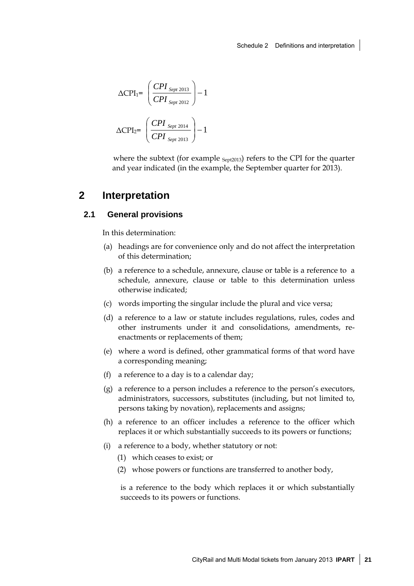$$
\Delta \text{CPI}_{1} = \left(\frac{CPI_{Sept\ 2013}}{CPI_{ Sept\ 2012}}\right) - 1
$$
\n
$$
\Delta \text{CPI}_{2} = \left(\frac{CPI_{Sept\ 2014}}{CPI_{ Sept\ 2013}}\right) - 1
$$

where the subtext (for example  $S_{ept2013}$ ) refers to the CPI for the quarter and year indicated (in the example, the September quarter for 2013).

### **2 Interpretation**

#### **2.1 General provisions**

In this determination:

- (a) headings are for convenience only and do not affect the interpretation of this determination;
- (b) a reference to a schedule, annexure, clause or table is a reference to a schedule, annexure, clause or table to this determination unless otherwise indicated;
- (c) words importing the singular include the plural and vice versa;
- (d) a reference to a law or statute includes regulations, rules, codes and other instruments under it and consolidations, amendments, reenactments or replacements of them;
- (e) where a word is defined, other grammatical forms of that word have a corresponding meaning;
- (f) a reference to a day is to a calendar day;
- (g) a reference to a person includes a reference to the person's executors, administrators, successors, substitutes (including, but not limited to, persons taking by novation), replacements and assigns;
- (h) a reference to an officer includes a reference to the officer which replaces it or which substantially succeeds to its powers or functions;
- (i) a reference to a body, whether statutory or not:
	- (1) which ceases to exist; or
	- (2) whose powers or functions are transferred to another body,

is a reference to the body which replaces it or which substantially succeeds to its powers or functions.